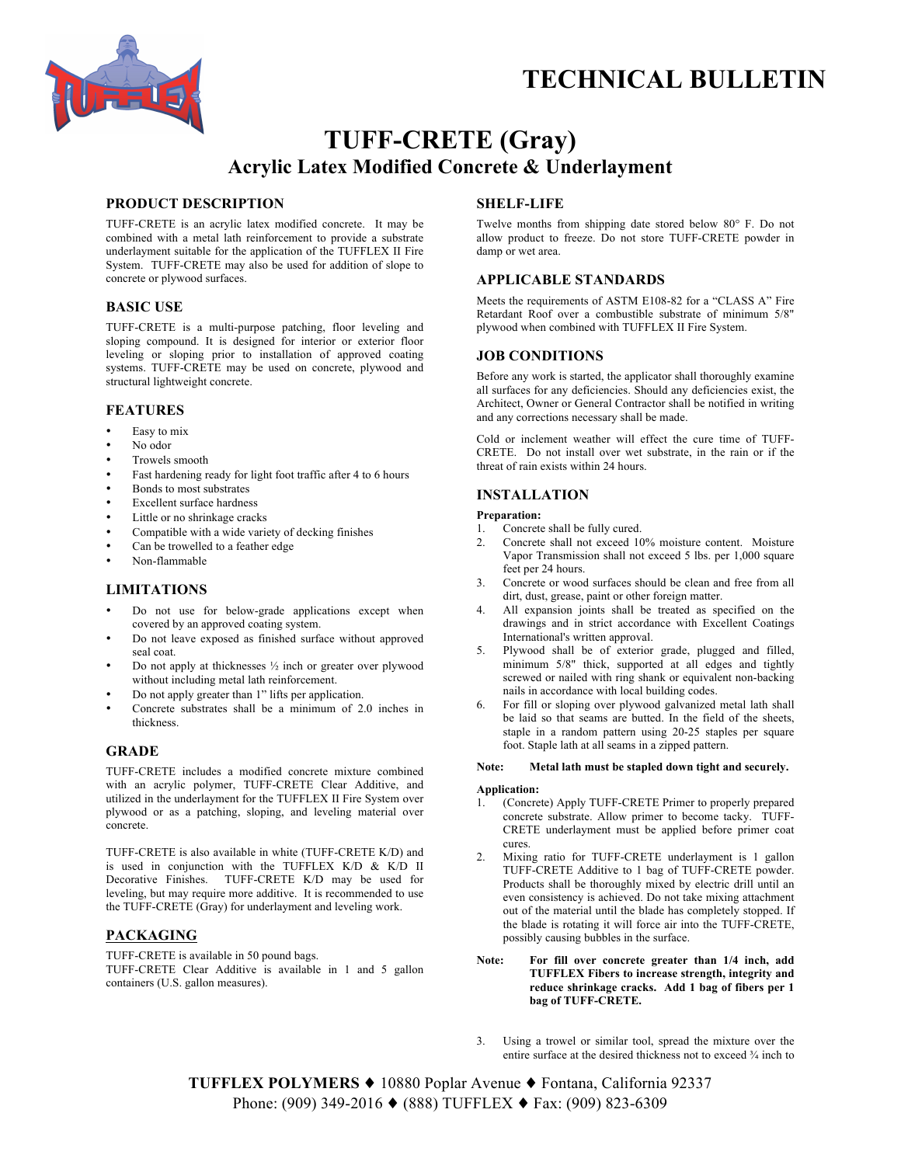# **TECHNICAL BULLETIN**



# **TUFF-CRETE (Gray) Acrylic Latex Modified Concrete & Underlayment**

# **PRODUCT DESCRIPTION**

TUFF-CRETE is an acrylic latex modified concrete. It may be combined with a metal lath reinforcement to provide a substrate underlayment suitable for the application of the TUFFLEX II Fire System. TUFF-CRETE may also be used for addition of slope to concrete or plywood surfaces.

# **BASIC USE**

TUFF-CRETE is a multi-purpose patching, floor leveling and sloping compound. It is designed for interior or exterior floor leveling or sloping prior to installation of approved coating systems. TUFF-CRETE may be used on concrete, plywood and structural lightweight concrete.

## **FEATURES**

- Easy to mix
- No odor
- Trowels smooth
- Fast hardening ready for light foot traffic after 4 to 6 hours
- Bonds to most substrates
- Excellent surface hardness
- Little or no shrinkage cracks
- Compatible with a wide variety of decking finishes
- Can be trowelled to a feather edge
- Non-flammable

# **LIMITATIONS**

- Do not use for below-grade applications except when covered by an approved coating system.
- Do not leave exposed as finished surface without approved seal coat.
- Do not apply at thicknesses  $\frac{1}{2}$  inch or greater over plywood without including metal lath reinforcement.
- Do not apply greater than 1" lifts per application.
- Concrete substrates shall be a minimum of 2.0 inches in thickness.

# **GRADE**

TUFF-CRETE includes a modified concrete mixture combined with an acrylic polymer, TUFF-CRETE Clear Additive, and utilized in the underlayment for the TUFFLEX II Fire System over plywood or as a patching, sloping, and leveling material over concrete.

TUFF-CRETE is also available in white (TUFF-CRETE K/D) and is used in conjunction with the TUFFLEX K/D & K/D II Decorative Finishes. TUFF-CRETE K/D may be used for leveling, but may require more additive. It is recommended to use the TUFF-CRETE (Gray) for underlayment and leveling work.

# **PACKAGING**

TUFF-CRETE is available in 50 pound bags. TUFF-CRETE Clear Additive is available in 1 and 5 gallon containers (U.S. gallon measures).

# **SHELF-LIFE**

Twelve months from shipping date stored below 80° F. Do not allow product to freeze. Do not store TUFF-CRETE powder in damp or wet area.

# **APPLICABLE STANDARDS**

Meets the requirements of ASTM E108-82 for a "CLASS A" Fire Retardant Roof over a combustible substrate of minimum 5/8" plywood when combined with TUFFLEX II Fire System.

## **JOB CONDITIONS**

Before any work is started, the applicator shall thoroughly examine all surfaces for any deficiencies. Should any deficiencies exist, the Architect, Owner or General Contractor shall be notified in writing and any corrections necessary shall be made.

Cold or inclement weather will effect the cure time of TUFF-CRETE. Do not install over wet substrate, in the rain or if the threat of rain exists within 24 hours.

# **INSTALLATION**

### **Preparation:**

- 1. Concrete shall be fully cured.
- 2. Concrete shall not exceed 10% moisture content. Moisture Vapor Transmission shall not exceed 5 lbs. per 1,000 square feet per 24 hours.
- 3. Concrete or wood surfaces should be clean and free from all dirt, dust, grease, paint or other foreign matter.
- 4. All expansion joints shall be treated as specified on the drawings and in strict accordance with Excellent Coatings International's written approval.
- 5. Plywood shall be of exterior grade, plugged and filled, minimum 5/8" thick, supported at all edges and tightly screwed or nailed with ring shank or equivalent non-backing nails in accordance with local building codes.
- 6. For fill or sloping over plywood galvanized metal lath shall be laid so that seams are butted. In the field of the sheets, staple in a random pattern using 20-25 staples per square foot. Staple lath at all seams in a zipped pattern.

#### **Note: Metal lath must be stapled down tight and securely.**

### **Application:**

- 1. (Concrete) Apply TUFF-CRETE Primer to properly prepared concrete substrate. Allow primer to become tacky. TUFF-CRETE underlayment must be applied before primer coat cures.
- 2. Mixing ratio for TUFF-CRETE underlayment is 1 gallon TUFF-CRETE Additive to 1 bag of TUFF-CRETE powder. Products shall be thoroughly mixed by electric drill until an even consistency is achieved. Do not take mixing attachment out of the material until the blade has completely stopped. If the blade is rotating it will force air into the TUFF-CRETE, possibly causing bubbles in the surface.
- **Note: For fill over concrete greater than 1/4 inch, add TUFFLEX Fibers to increase strength, integrity and reduce shrinkage cracks. Add 1 bag of fibers per 1 bag of TUFF-CRETE.**
- 3. Using a trowel or similar tool, spread the mixture over the entire surface at the desired thickness not to exceed ¾ inch to

**TUFFLEX POLYMERS** ♦ 10880 Poplar Avenue ♦ Fontana, California 92337 Phone: (909) 349-2016 ♦ (888) TUFFLEX ♦ Fax: (909) 823-6309